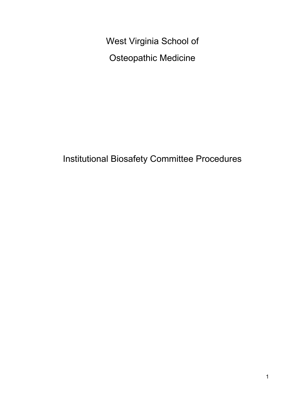West Virginia School of Osteopathic Medicine

Institutional Biosafety Committee Procedures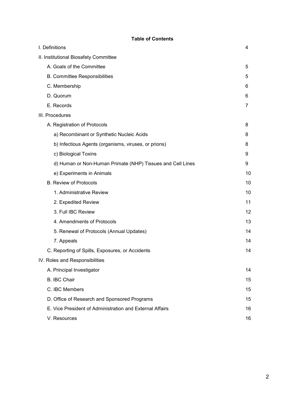# **Table of Contents**

| I. Definitions                                             | 4              |
|------------------------------------------------------------|----------------|
| II. Institutional Biosafety Committee                      |                |
| A. Goals of the Committee                                  | 5              |
| B. Committee Responsibilities                              | 5              |
| C. Membership                                              | 6              |
| D. Quorum                                                  | 6              |
| E. Records                                                 | $\overline{7}$ |
| III. Procedures                                            |                |
| A. Registration of Protocols                               | 8              |
| a) Recombinant or Synthetic Nucleic Acids                  | 8              |
| b) Infectious Agents (organisms, viruses, or prions)       | 8              |
| c) Biological Toxins                                       | 9              |
| d) Human or Non-Human Primate (NHP) Tissues and Cell Lines | 9              |
| e) Experiments in Animals                                  | 10             |
| <b>B. Review of Protocols</b>                              | 10             |
| 1. Administrative Review                                   | 10             |
| 2. Expedited Review                                        | 11             |
| 3. Full IBC Review                                         | 12             |
| 4. Amendments of Protocols                                 | 13             |
| 5. Renewal of Protocols (Annual Updates)                   | 14             |
| 7. Appeals                                                 | 14             |
| C. Reporting of Spills, Exposures, or Accidents            | 14             |
| IV. Roles and Responsibilities                             |                |
| A. Principal Investigator                                  | 14             |
| <b>B. IBC Chair</b>                                        | 15             |
| C. IBC Members                                             | 15             |
| D. Office of Research and Sponsored Programs               | 15             |
| E. Vice President of Administration and External Affairs   | 16             |
| V. Resources                                               | 16             |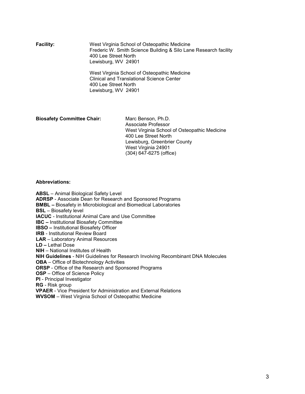**Facility:** West Virginia School of Osteopathic Medicine Frederic W. Smith Science Building & Silo Lane Research facility 400 Lee Street North Lewisburg, WV 24901

> West Virginia School of Osteopathic Medicine Clinical and Translational Science Center 400 Lee Street North Lewisburg, WV 24901

#### **Biosafety Committee Chair:** Marc Benson, Ph.D.

Associate Professor West Virginia School of Osteopathic Medicine 400 Lee Street North Lewisburg, Greenbrier County West Virginia 24901 (304) 647-6275 (office)

#### **Abbreviations:**

**ABSL** – Animal Biological Safety Level **ADRSP** - Associate Dean for Research and Sponsored Programs **BMBL –** Biosafety in Microbiological and Biomedical Laboratories **BSL** – Biosafety level **IACUC** - Institutional Animal Care and Use Committee **IBC –** Institutional Biosafety Committee **IBSO –** Institutional Biosafety Officer **IRB** - Institutional Review Board **LAR** – Laboratory Animal Resources **LD –** Lethal Dose **NIH** – National Institutes of Health **NIH Guidelines** - NIH Guidelines for Research Involving Recombinant DNA Molecules **OBA** – Office of Biotechnology Activities **ORSP** - Office of the Research and Sponsored Programs **OSP** – Office of Science Policy **PI** - Principal Investigator **RG** - Risk group **VPAER** - Vice President for Administration and External Relations **WVSOM** – West Virginia School of Osteopathic Medicine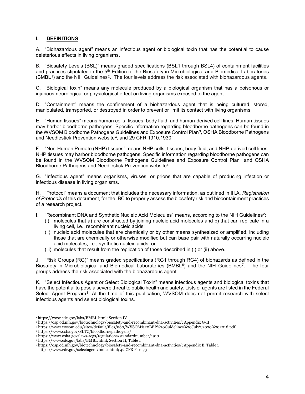# **I. DEFINITIONS**

A. "Biohazardous agent" means an infectious agent or biological toxin that has the potential to cause deleterious effects in living organisms.

B. "Biosafety Levels (BSL)" means graded specifications (BSL1 through BSL4) of containment facilities and practices stipulated in the 5<sup>th</sup> Edition of the Biosafety in Microbiological and Biomedical Laboratories  $(BMBL<sup>1</sup>)$  and the NIH Guidelines<sup>[2](#page-3-1)</sup>. The four levels address the risk associated with biohazardous agents.

C. "Biological toxin" means any molecule produced by a biological organism that has a poisonous or injurious neurological or physiological effect on living organisms exposed to the agent.

D. "Containment" means the confinement of a biohazardous agent that is being cultured, stored, manipulated, transported, or destroyed in order to prevent or limit its contact with living organisms.

E. "Human tissues" means human cells, tissues, body fluid, and human-derived cell lines. Human tissues may harbor bloodborne pathogens. Specific information regarding bloodborne pathogens can be found in the WVSOM Bloodborne Pathogens Guidelines and Exposure Control Plan[3](#page-3-2), OSHA Bloodborne Pathogens and Needlestick Prevention website<sup>4</sup>, and 29 CFR 1910.1930<sup>[5](#page-3-4)</sup>.

F. "Non-Human Primate (NHP) tissues" means NHP cells, tissues, body fluid, and NHP-derived cell lines. NHP tissues may harbor bloodborne pathogens. Specific information regarding bloodborne pathogens can be found in the WVSOM Bloodborne Pathogens Guidelines and Exposure Control Plan<sup>3</sup> and OSHA Bloodborne Pathogens and Needlestick Prevention website4.

G. "Infectious agent" means organisms, viruses, or prions that are capable of producing infection or infectious disease in living organisms.

H. "Protocol" means a document that includes the necessary information, as outlined in III.A. *Registration of Protocols* of this document, for the IBC to properly assess the biosafety risk and biocontainment practices of a research project.

- I. "Recombinant DNA and Synthetic Nucleic Acid Molecules" means, according to the NIH Guidelines<sup>2</sup>:
	- (i) molecules that a) are constructed by joining nucleic acid molecules and b) that can replicate in a living cell, i.e., recombinant nucleic acids;
	- (ii) nucleic acid molecules that are chemically or by other means synthesized or amplified, including those that are chemically or otherwise modified but can base pair with naturally occurring nucleic acid molecules, i.e., synthetic nucleic acids; or
	- (iii) molecules that result from the replication of those described in (i) or (ii) above.

J. "Risk Groups (RG)" means graded specifications (RG1 through RG4) of biohazards as defined in the Biosafety in Microbiological and Biomedical Laboratories (BMBL<sup>[6](#page-3-5)</sup>) and the NIH Guidelines<sup>[7](#page-3-6)</sup>. The four groups address the risk associated with the biohazardous agent.

K. "Select Infectious Agent or Select Biological Toxin" means infectious agents and biological toxins that have the potential to pose a severe threat to public health and safety. Lists of agents are listed in the Federal Select Agent Program<sup>[8](#page-3-7)</sup>. At the time of this publication, WVSOM does not permit research with select infectious agents and select biological toxins.

 $\overline{a}$ <sup>1</sup> https://www.cdc.gov/labs/BMBL.html; Section IV

<span id="page-3-1"></span><span id="page-3-0"></span><sup>2</sup> https://osp.od.nih.gov/biotechnology/biosafety-and-recombinant-dna-activities/; Appendix G-II

<span id="page-3-2"></span><sup>3</sup> https://www.wvsom.edu/sites/default/files/u60/WVSOM%20BBP%20Guidelines%20July%2020%202018.pdf

<span id="page-3-3"></span><sup>4</sup> https://www.osha.gov/SLTC/bloodbornepathogens/

<span id="page-3-4"></span><sup>5</sup> https://www.osha.gov/laws-regs/regulations/standardnumber/1910

<span id="page-3-5"></span><sup>6</sup> https://www.cdc.gov/labs/BMBL.html; Section II, Table 1

<span id="page-3-6"></span><sup>7</sup> https://osp.od.nih.gov/biotechnology/biosafety-and-recombinant-dna-activities/; Appendix B, Table 1

<span id="page-3-7"></span><sup>8</sup> https://www.cdc.gov/selectagent/index.html; 42 CFR Part 73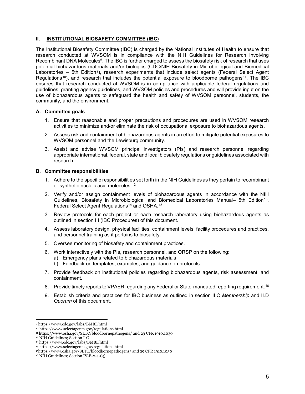### **II. INSTITUTIONAL BIOSAFETY COMMITTEE (IBC)**

The Institutional Biosafety Committee (IBC) is charged by the National Institutes of Health to ensure that research conducted at WVSOM is in compliance with the NIH Guidelines for Research Involving Recombinant DNA Molecules<sup>6</sup>. The IBC is further charged to assess the biosafety risk of research that uses potential biohazardous materials and/or biologics (CDC/NIH Biosafety in Microbiological and Biomedical Laboratories – 5th Edition<sup>9</sup>), research experiments that include select agents (Federal Select Agent Regulations<sup>[10](#page-4-1)</sup>), and research that includes the potential exposure to bloodborne pathogens<sup>11</sup>. The IBC ensures that research conducted at WVSOM is in compliance with applicable federal regulations and guidelines, granting agency guidelines, and WVSOM policies and procedures and will provide input on the use of biohazardous agents to safeguard the health and safety of WVSOM personnel, students, the community, and the environment.

#### **A. Committee goals**

- 1. Ensure that reasonable and proper precautions and procedures are used in WVSOM research activities to minimize and/or eliminate the risk of occupational exposure to biohazardous agents.
- 2. Assess risk and containment of biohazardous agents in an effort to mitigate potential exposures to WVSOM personnel and the Lewisburg community.
- 3. Assist and advise WVSOM principal investigators (PIs) and research personnel regarding appropriate international, federal, state and local biosafety regulations or guidelines associated with research.

#### **B. Committee responsibilities**

- 1. Adhere to the specific responsibilities set forth in the NIH Guidelines as they pertain to recombinant or synthetic nucleic acid molecules.<sup>[12](#page-4-3)</sup>
- 2. Verify and/or assign containment levels of biohazardous agents in accordance with the NIH Guidelines, Biosafety in Microbiological and Biomedical Laboratories Manual– 5th Edition[13](#page-4-4), Federal Select Agent Regulations<sup>[14](#page-4-5)</sup> and OSHA.<sup>[15](#page-4-6)</sup>
- 3. Review protocols for each project or each research laboratory using biohazardous agents as outlined in section III (IBC Procedures) of this document.
- 4. Assess laboratory design, physical facilities, containment levels, facility procedures and practices, and personnel training as it pertains to biosafety.
- 5. Oversee monitoring of biosafety and containment practices.
- 6. Work interactively with the PIs, research personnel, and ORSP on the following:
	- a) Emergency plans related to biohazardous materials
	- b) Feedback on templates, examples, and guidance on protocols.
- 7. Provide feedback on institutional policies regarding biohazardous agents, risk assessment, and containment.
- 8. Provide timely reports to VPAER regarding any Federal or State-mandated reporting requirement.<sup>[16](#page-4-7)</sup>
- 9. Establish criteria and practices for IBC business as outlined in section II.C *Membership* and II.D *Quorum* of this document.

<span id="page-4-0"></span> $\overline{a}$ <sup>9</sup> https://www.cdc.gov/labs/BMBL.html

<span id="page-4-1"></span><sup>10</sup> https://www.selectagents.gov/regulations.html

<span id="page-4-2"></span><sup>&</sup>lt;sup>11</sup> https://www.osha.gov/SLTC/bloodbornepathogens/ and 29 CFR 1910.1030

<span id="page-4-3"></span><sup>12</sup> NIH Guidelines; Section I-C

<span id="page-4-4"></span><sup>13</sup> https://www.cdc.gov/labs/BMBL.html

<span id="page-4-5"></span><sup>14</sup> https://www.selectagents.gov/regulations.html

<sup>&</sup>lt;sup>15</sup>https://www.osha.gov/SLTC/ploodbornepathogens/ and 29 CFR 1910.1030

<span id="page-4-7"></span><span id="page-4-6"></span><sup>16</sup> NIH Guidelines; Section IV-B-2-a-(3)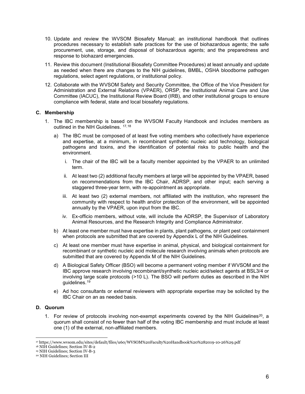- 10. Update and review the WVSOM Biosafety Manual; an institutional handbook that outlines procedures necessary to establish safe practices for the use of biohazardous agents; the safe procurement, use, storage, and disposal of biohazardous agents; and the preparedness and response to biohazard emergencies.
- 11. Review this document (Institutional Biosafety Committee Procedures) at least annually and update as needed when there are changes to the NIH guidelines, BMBL, OSHA bloodborne pathogen regulations, select agent regulations, or institutional policy.
- 12. Collaborate with the WVSOM Safety and Security Committee, the Office of the Vice President for Administration and External Relations (VPAER), ORSP, the Institutional Animal Care and Use Committee (IACUC), the Institutional Review Board (IRB), and other institutional groups to ensure compliance with federal, state and local biosafety regulations.

#### **C. Membership**

- 1. The IBC membership is based on the WVSOM Faculty Handbook and includes members as outlined in the NIH Guidelines. [17,](#page-5-0)[18](#page-5-1)
	- a) The IBC must be composed of at least five voting members who collectively have experience and expertise, at a minimum, in recombinant synthetic nucleic acid technology, biological pathogens and toxins, and the identification of potential risks to public health and the environment.
		- i. The chair of the IBC will be a faculty member appointed by the VPAER to an unlimited term.
		- ii. At least two (2) additional faculty members at large will be appointed by the VPAER, based on recommendations from the IBC Chair, ADRSP, and other input; each serving a staggered three-year term, with re-appointment as appropriate.
		- iii. At least two (2) external members, not affiliated with the institution, who represent the community with respect to health and/or protection of the environment, will be appointed annually by the VPAER, upon input from the IBC.
		- iv. Ex-officio members, without vote, will include the ADRSP, the Supervisor of Laboratory Animal Resources, and the Research Integrity and Compliance Administrator.
	- b) At least one member must have expertise in plants, plant pathogens, or plant pest containment when protocols are submitted that are covered by Appendix L of the NIH Guidelines.
	- c) At least one member must have expertise in animal, physical, and biological containment for recombinant or synthetic nucleic acid molecule research involving animals when protocols are submitted that are covered by Appendix M of the NIH Guidelines.
	- d) A Biological Safety Officer (BSO) will become a permanent voting member if WVSOM and the IBC approve research involving recombinant/synthetic nucleic acid/select agents at BSL3/4 or involving large scale protocols (>10 L). The BSO will perform duties as described in the NIH guidelines.[19](#page-5-2)
	- e) Ad hoc consultants or external reviewers with appropriate expertise may be solicited by the IBC Chair on an as needed basis.

# **D. Quorum**

1. For review of protocols involving non-exempt experiments covered by the NIH Guidelines<sup>[20](#page-5-3)</sup>, a quorum shall consist of no fewer than half of the voting IBC membership and must include at least one (1) of the external, non-affiliated members.

 $\overline{a}$ <sup>17</sup> https://www.wvsom.edu/sites/default/files/u60/WVSOM%20Faculty%20Handbook%20%282019-10-26%29.pdf

<span id="page-5-1"></span><span id="page-5-0"></span><sup>18</sup> NIH Guidelines; Section IV-B-2

<sup>19</sup> NIH Guidelines; Section IV-B-3

<span id="page-5-3"></span><span id="page-5-2"></span><sup>20</sup> NIH Guidelines; Section III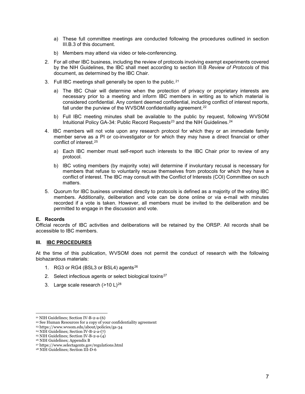- a) These full committee meetings are conducted following the procedures outlined in section III.B.3 of this document.
- b) Members may attend via video or tele-conferencing.
- 2. For all other IBC business, including the review of protocols involving exempt experiments covered by the NIH Guidelines, the IBC shall meet according to section III.B *Review of Protocols* of this document, as determined by the IBC Chair.
- 3. Full IBC meetings shall generally be open to the public.<sup>[21](#page-6-0)</sup>
	- a) The IBC Chair will determine when the protection of privacy or proprietary interests are necessary prior to a meeting and inform IBC members in writing as to which material is considered confidential. Any content deemed confidential, including conflict of interest reports, fall under the purview of the WVSOM confidentiality agreement.<sup>22</sup>
	- b) Full IBC meeting minutes shall be available to the public by request, following WVSOM Intuitional Policy GA-34: Public Record Requests<sup>[23](#page-6-2)</sup> and the NIH Guidelines.<sup>[24](#page-6-3)</sup>
- 4. IBC members will not vote upon any research protocol for which they or an immediate family member serve as a PI or co-investigator or for which they may have a direct financial or other conflict of interest.[25](#page-6-4)
	- a) Each IBC member must self-report such interests to the IBC Chair prior to review of any protocol.
	- b) IBC voting members (by majority vote) will determine if involuntary recusal is necessary for members that refuse to voluntarily recuse themselves from protocols for which they have a conflict of interest. The IBC may consult with the Conflict of Interests (COI) Committee on such matters.
- 5. Quorum for IBC business unrelated directly to protocols is defined as a majority of the voting IBC members. Additionally, deliberation and vote can be done online or via e-mail with minutes recorded if a vote is taken. However, all members must be invited to the deliberation and be permitted to engage in the discussion and vote.

#### **E. Records**

 $\overline{a}$ 

Official records of IBC activities and deliberations will be retained by the ORSP. All records shall be accessible to IBC members.

#### **III. IBC PROCEDURES**

At the time of this publication, WVSOM does not permit the conduct of research with the following biohazardous materials:

- 1. RG3 or RG4 (BSL3 or BSL4) agents<sup>[26](#page-6-5)</sup>
- 2. Select infectious agents or select biological toxins<sup>[27](#page-6-6)</sup>
- 3. Large scale research (>10 L)[28](#page-6-7)

<sup>21</sup> NIH Guidelines; Section IV-B-2-a-(6)

<span id="page-6-1"></span><span id="page-6-0"></span><sup>&</sup>lt;sup>22</sup> See Human Resources for a copy of your confidentiality agreement

<span id="page-6-2"></span><sup>23</sup> https://www.wvsom.edu/about/policies/ga-34

<span id="page-6-3"></span><sup>24</sup> NIH Guidelines; Section IV-B-2-a-(7)

<span id="page-6-4"></span> $25$  NIH Guidelines; Section IV-B-2-a- $(4)$ 

<span id="page-6-5"></span><sup>26</sup> NIH Guidelines; Appendix B

<span id="page-6-6"></span><sup>27</sup> https://www.selectagents.gov/regulations.html

<span id="page-6-7"></span><sup>28</sup> NIH Guidelines; Section III-D-6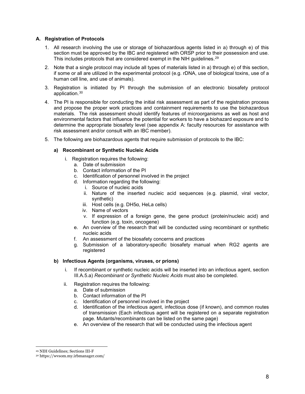# **A. Registration of Protocols**

- 1. All research involving the use or storage of biohazardous agents listed in a) through e) of this section must be approved by the IBC and registered with ORSP prior to their possession and use. This includes protocols that are considered exempt in the NIH quidelines.<sup>[29](#page-7-0)</sup>
- 2. Note that a single protocol may include all types of materials listed in a) through e) of this section, if some or all are utilized in the experimental protocol (e.g. rDNA, use of biological toxins, use of a human cell line, and use of animals).
- 3. Registration is initiated by PI through the submission of an electronic biosafety protocol application.[30](#page-7-1)
- 4. The PI is responsible for conducting the initial risk assessment as part of the registration process and propose the proper work practices and containment requirements to use the biohazardous materials. The risk assessment should identify features of microorganisms as well as host and environmental factors that influence the potential for workers to have a biohazard exposure and to determine the appropriate biosafety level (see appendix A: faculty resources for assistance with risk assessment and/or consult with an IBC member).
- 5. The following are biohazardous agents that require submission of protocols to the IBC:

#### **a) Recombinant or Synthetic Nucleic Acids**

- i. Registration requires the following:
	- a. Date of submission
	- b. Contact information of the PI
	- c. Identification of personnel involved in the project
	- d. Information regarding the following:
		- i. Source of nucleic acids
		- ii. Nature of the inserted nucleic acid sequences (e.g. plasmid, viral vector, synthetic)
		- iii. Host cells (e.g. DH5α, HeLa cells)
		- iv. Name of vectors
		- v. If expression of a foreign gene, the gene product (protein/nucleic acid) and function (e.g. toxin, oncogene)
	- e. An overview of the research that will be conducted using recombinant or synthetic nucleic acids
	- f. An assessment of the biosafety concerns and practices
	- g. Submission of a laboratory-specific biosafety manual when RG2 agents are registered

#### **b) Infectious Agents (organisms, viruses, or prions)**

- i. If recombinant or synthetic nucleic acids will be inserted into an infectious agent, section III.A.5.a) *Recombinant or Synthetic Nucleic Acids* must also be completed.
- ii. Registration requires the following:
	- a. Date of submission
	- b. Contact information of the PI
	- c. Identification of personnel involved in the project
	- d. Identification of the infectious agent, infectious dose (if known), and common routes of transmission (Each infectious agent will be registered on a separate registration page. Mutants/recombinants can be listed on the same page)
	- e. An overview of the research that will be conducted using the infectious agent

 $\overline{a}$ <sup>29</sup> NIH Guidelines; Sections III-F

<span id="page-7-1"></span><span id="page-7-0"></span><sup>30</sup> <https://wvsom.my.irbmanager.com/>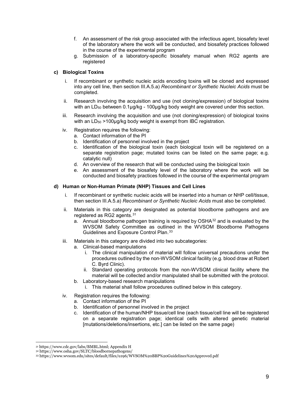- f. An assessment of the risk group associated with the infectious agent, biosafety level of the laboratory where the work will be conducted, and biosafety practices followed in the course of the experimental program
- g. Submission of a laboratory-specific biosafety manual when RG2 agents are registered

# **c) Biological Toxins**

- If recombinant or synthetic nucleic acids encoding toxins will be cloned and expressed into any cell line, then section III.A.5.a) *Recombinant or Synthetic Nucleic Acids* must be completed.
- ii. Research involving the acquisition and use (not cloning/expression) of biological toxins with an LD<sub>50</sub> between 0.1µg/kg - 100µg/kg body weight are covered under this section.
- iii. Research involving the acquisition and use (not cloning/expression) of biological toxins with an  $LD_{50}$  >100µg/kg body weight is exempt from IBC registration.
- iv. Registration requires the following:
	- a. Contact information of the PI
	- b. Identification of personnel involved in the project
	- c. Identification of the biological toxin (each biological toxin will be registered on a separate registration page; mutated toxins can be listed on the same page; e.g. catalytic null)
	- d. An overview of the research that will be conducted using the biological toxin
	- e. An assessment of the biosafety level of the laboratory where the work will be conducted and biosafety practices followed in the course of the experimental program

# **d) Human or Non-Human Primate (NHP) Tissues and Cell Lines**

- i. If recombinant or synthetic nucleic acids will be inserted into a human or NHP cell/tissue, then section III.A.5.a) *Recombinant or Synthetic Nucleic Acids* must also be completed.
- ii. Materials in this category are designated as potential bloodborne pathogens and are registered as RG2 agents.<sup>[31](#page-8-0)</sup>
	- a. Annual bloodborne pathogen training is required by OSHA<sup>[32](#page-8-1)</sup> and is evaluated by the WVSOM Safety Committee as outlined in the WVSOM Bloodborne Pathogens Guidelines and Exposure Control Plan.[33](#page-8-2)
- iii. Materials in this category are divided into two subcategories:
	- a. Clinical-based manipulations
		- i. The clinical manipulation of material will follow universal precautions under the procedures outlined by the non-WVSOM clinical facility (e.g. blood draw at Robert C. Byrd Clinic).
		- ii. Standard operating protocols from the non-WVSOM clinical facility where the material will be collected and/or manipulated shall be submitted with the protocol.
	- b. Laboratory-based research manipulations
		- i. This material shall follow procedures outlined below in this category.
- iv. Registration requires the following:
	- a. Contact information of the PI
	- b. Identification of personnel involved in the project
	- c. Identification of the human/NHP tissue/cell line (each tissue/cell line will be registered on a separate registration page; identical cells with altered genetic material [mutations/deletions/insertions, etc.] can be listed on the same page)

 $\overline{a}$ 

<span id="page-8-0"></span><sup>31</sup> https://www.cdc.gov/labs/BMBL.html; Appendix H

<span id="page-8-1"></span><sup>32</sup> https://www.osha.gov/SLTC/bloodbornepathogens/

<span id="page-8-2"></span><sup>33</sup> https://www.wvsom.edu/sites/default/files/u196/WVSOM%20BBP%20Guidelines%20Approved.pdf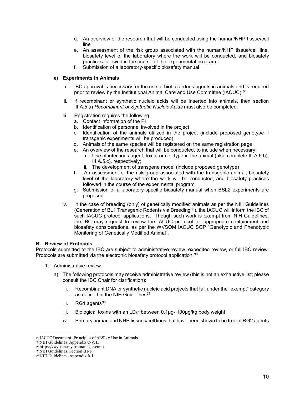- d. An overview of the research that will be conducted using the human/NHP tissue/cell line
- e. An assessment of the risk group associated with the human/NHP tissue/cell line, biosafety level of the laboratory where the work will be conducted, and biosafety practices followed in the course of the experimental program
- f. Submission of a laboratory-specific biosafety manual

### **e) Experiments in Animals**

- i. IBC approval is necessary for the use of biohazardous agents in animals and is required prior to review by the Institutional Animal Care and Use Committee (IACUC).<sup>[34](#page-9-0)</sup>
- ii. If recombinant or synthetic nucleic acids will be inserted into animals, then section III.A.5.a) *Recombinant or Synthetic Nucleic Acids* must also be completed.
- iii. Registration requires the following:
	- a. Contact information of the PI
	- b. Identification of personnel involved in the project
	- c. Identification of the animals utilized in the project (include proposed genotype if transgenic experiments will be produced)
	- d. Animals of the same species will be registered on the same registration page
	- e. An overview of the research that will be conducted, to include when necessary:
		- i. Use of infectious agent, toxin, or cell type in the animal (also complete III.A.5.b), III.A.5.c), respectively)
		- ii. The development of transgene model (include proposed genotype)
	- f. An assessment of the risk group associated with the transgenic animal, biosafety level of the laboratory where the work will be conducted, and biosafety practices followed in the course of the experimental program
	- g. Submission of a laboratory-specific biosafety manual when BSL2 experiments are proposed
- iv. In the case of breeding (only) of genetically modified animals as per the NIH Guidelines (Generation of BL1 Transgenic Rodents via Breeding<sup>[35](#page-9-1)</sup>), the IACUC will inform the IBC of such IACUC protocol applications. Though such work is exempt from NIH Guidelines, the IBC may request to review the IACUC protocol for appropriate containment and biosafety considerations, as per the WVSOM IACUC SOP "Genotypic and Phenotypic Monitoring of Genetically Modified Animal".

#### **B. Review of Protocols**

Protocols submitted to the IBC are subject to administrative review, expedited review, or full IBC review. Protocols are submitted via the electronic biosafety protocol application.<sup>[36](#page-9-2)</sup>

- 1. Administrative review
	- a) The following protocols may receive administrative review (this is not an exhaustive list; please consult the IBC Chair for clarification):
		- i. Recombinant DNA or synthetic nucleic acid projects that fall under the "exempt" category as defined in the NIH Guidelines<sup>[37](#page-9-3)</sup>
		- ii.  $RG1$  agents<sup>[38](#page-9-4)</sup>
		- iii. Biological toxins with an  $LD_{50}$  between 0.1 $\mu$ g- 100 $\mu$ g/kg body weight
		- iv. Primary human and NHP tissues/cell lines that have been shown to be free of RG2 agents

 $\overline{a}$ <sup>34</sup> IACUC Document: Principles of ABSL-2 Use in Animals

<span id="page-9-0"></span><sup>35</sup> NIH Guidelines: Appendix C-VIII

<span id="page-9-2"></span><span id="page-9-1"></span><sup>&</sup>lt;sup>36</sup> https://wvsom.my.irbmanager.com/<br><sup>37</sup> NIH Guidelines: Section III-F

<span id="page-9-4"></span><span id="page-9-3"></span><sup>38</sup> NIH Guidelines; Appendix B-I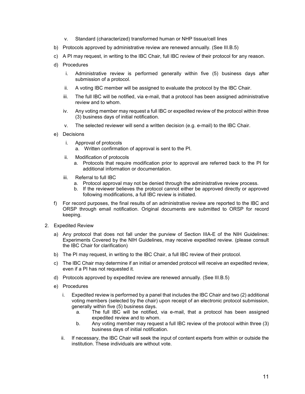- v. Standard (characterized) transformed human or NHP tissue/cell lines
- b) Protocols approved by administrative review are renewed annually. (See III.B.5)
- c) A PI may request, in writing to the IBC Chair, full IBC review of their protocol for any reason.
- d) Procedures
	- i. Administrative review is performed generally within five (5) business days after submission of a protocol.
	- ii. A voting IBC member will be assigned to evaluate the protocol by the IBC Chair.
	- iii. The full IBC will be notified, via e-mail, that a protocol has been assigned administrative review and to whom.
	- iv. Any voting member may request a full IBC or expedited review of the protocol within three (3) business days of initial notification.
	- v. The selected reviewer will send a written decision (e.g. e-mail) to the IBC Chair.
- e) Decisions
	- i. Approval of protocols
		- a. Written confirmation of approval is sent to the PI.
	- ii. Modification of protocols
		- a. Protocols that require modification prior to approval are referred back to the PI for additional information or documentation.
	- iii. Referral to full IBC
		- a. Protocol approval may not be denied through the administrative review process.
		- b. If the reviewer believes the protocol cannot either be approved directly or approved following modifications, a full IBC review is initiated.
- f) For record purposes, the final results of an administrative review are reported to the IBC and ORSP through email notification. Original documents are submitted to ORSP for record keeping.
- 2. Expedited Review
	- a) Any protocol that does not fall under the purview of Section IIIA-E of the NIH Guidelines: Experiments Covered by the NIH Guidelines, may receive expedited review. (please consult the IBC Chair for clarification)
	- b) The PI may request, in writing to the IBC Chair, a full IBC review of their protocol.
	- c) The IBC Chair may determine if an initial or amended protocol will receive an expedited review, even if a PI has not requested it.
	- d) Protocols approved by expedited review are renewed annually. (See III.B.5)
	- e) Procedures
		- i. Expedited review is performed by a panel that includes the IBC Chair and two (2) additional voting members (selected by the chair) upon receipt of an electronic protocol submission, generally within five (5) business days.
			- a. The full IBC will be notified, via e-mail, that a protocol has been assigned expedited review and to whom.
			- b. Any voting member may request a full IBC review of the protocol within three (3) business days of initial notification.
		- ii. If necessary, the IBC Chair will seek the input of content experts from within or outside the institution. These individuals are without vote.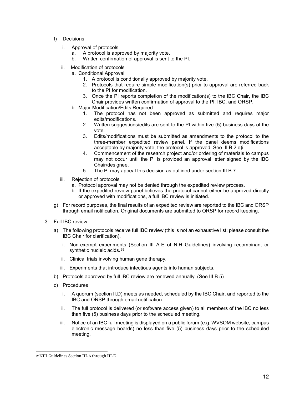- f) Decisions
	- i. Approval of protocols
		- a. A protocol is approved by majority vote.
		- b. Written confirmation of approval is sent to the PI.
	- ii. Modification of protocols
		- a. Conditional Approval
			- 1. A protocol is conditionally approved by majority vote.
			- 2. Protocols that require simple modification(s) prior to approval are referred back to the PI for modification.
			- 3. Once the PI reports completion of the modification(s) to the IBC Chair, the IBC Chair provides written confirmation of approval to the PI, IBC, and ORSP.
		- b. Major Modification/Edits Required
			- 1. The protocol has not been approved as submitted and requires major edits/modifications.
			- 2. Written suggestions/edits are sent to the PI within five (5) business days of the vote.
			- 3. Edits/modifications must be submitted as amendments to the protocol to the three-member expedited review panel. If the panel deems modifications acceptable by majority vote, the protocol is approved. See III.B.2.e)i.
			- 4. Commencement of the research project and/or ordering of materials to campus may not occur until the PI is provided an approval letter signed by the IBC Chair/designee.
			- 5. The PI may appeal this decision as outlined under section III.B.7.
	- iii. Rejection of protocols
		- a. Protocol approval may not be denied through the expedited review process.
		- b. If the expedited review panel believes the protocol cannot either be approved directly or approved with modifications, a full IBC review is initiated.
- g) For record purposes, the final results of an expedited review are reported to the IBC and ORSP through email notification. Original documents are submitted to ORSP for record keeping.
- 3. Full IBC review
	- a) The following protocols receive full IBC review (this is not an exhaustive list; please consult the IBC Chair for clarification).
		- i. Non-exempt experiments (Section III A-E of NIH Guidelines) involving recombinant or synthetic nucleic acids.<sup>[39](#page-11-0)</sup>
		- ii. Clinical trials involving human gene therapy.
		- iii. Experiments that introduce infectious agents into human subjects.
	- b) Protocols approved by full IBC review are renewed annually. (See III.B.5)
	- c) Procedures
		- i. A quorum (section II.D) meets as needed, scheduled by the IBC Chair, and reported to the IBC and ORSP through email notification.
		- ii. The full protocol is delivered (or software access given) to all members of the IBC no less than five (5) business days prior to the scheduled meeting.
		- iii. Notice of an IBC full meeting is displayed on a public forum (e.g. WVSOM website, campus electronic message boards) no less than five (5) business days prior to the scheduled meeting.

<span id="page-11-0"></span> $\overline{a}$ <sup>39</sup> NIH Guidelines Section III-A through III-E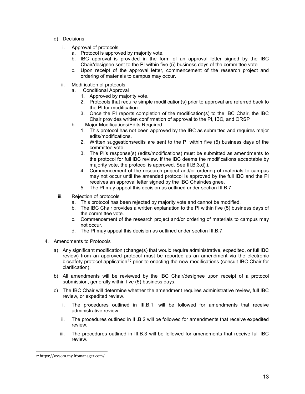- d) Decisions
	- i. Approval of protocols
		- a. Protocol is approved by majority vote.
		- b. IBC approval is provided in the form of an approval letter signed by the IBC Chair/designee sent to the PI within five (5) business days of the committee vote.
		- c. Upon receipt of the approval letter, commencement of the research project and ordering of materials to campus may occur.
	- ii. Modification of protocols
		- a. Conditional Approval
			- 1. Approved by majority vote.
			- 2. Protocols that require simple modification(s) prior to approval are referred back to the PI for modification.
			- 3. Once the PI reports completion of the modification(s) to the IBC Chair, the IBC Chair provides written confirmation of approval to the PI, IBC, and ORSP
		- b. Major Modifications/Edits Required.
			- 1. This protocol has not been approved by the IBC as submitted and requires major edits/modifications.
			- 2. Written suggestions/edits are sent to the PI within five (5) business days of the committee vote.
			- 3. The PI's response(s) (edits/modifications) must be submitted as amendments to the protocol for full IBC review. If the IBC deems the modifications acceptable by majority vote, the protocol is approved. See III.B.3.d).i.
			- 4. Commencement of the research project and/or ordering of materials to campus may not occur until the amended protocol is approved by the full IBC and the PI receives an approval letter signed by the IBC Chair/designee.
			- 5. The PI may appeal this decision as outlined under section III.B.7.
	- iii. Rejection of protocols
		- a. This protocol has been rejected by majority vote and cannot be modified.
		- b. The IBC Chair provides a written explanation to the PI within five (5) business days of the committee vote.
		- c. Commencement of the research project and/or ordering of materials to campus may not occur.
		- d. The PI may appeal this decision as outlined under section III.B.7.
- 4. Amendments to Protocols
	- a) Any significant modification (change(s) that would require administrative, expedited, or full IBC review) from an approved protocol must be reported as an amendment via the electronic biosafety protocol application<sup>[40](#page-12-0)</sup> prior to enacting the new modifications (consult IBC Chair for clarification).
	- b) All amendments will be reviewed by the IBC Chair/designee upon receipt of a protocol submission, generally within five (5) business days.
	- c) The IBC Chair will determine whether the amendment requires administrative review, full IBC review, or expedited review.
		- i. The procedures outlined in III.B.1. will be followed for amendments that receive administrative review.
		- ii. The procedures outlined in III.B.2 will be followed for amendments that receive expedited review.
		- iii. The procedures outlined in III.B.3 will be followed for amendments that receive full IBC review.

<span id="page-12-0"></span> $\overline{a}$ <sup>40</sup> https://wvsom.my.irbmanager.com/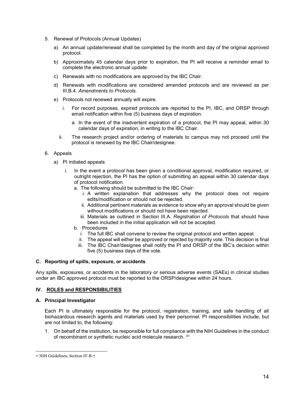- 5. Renewal of Protocols (Annual Updates)
	- a) An annual update/renewal shall be completed by the month and day of the original approved protocol.
	- b) Approximately 45 calendar days prior to expiration, the PI will receive a reminder email to complete the electronic annual update.
	- c) Renewals with no modifications are approved by the IBC Chair.
	- d) Renewals with modifications are considered amended protocols and are reviewed as per III.B.4. *Amendments to Protocols.*
	- e) Protocols not renewed annually will expire.
		- i. For record purposes, expired protocols are reported to the PI, IBC, and ORSP through email notification within five (5) business days of expiration.
			- a. In the event of the inadvertent expiration of a protocol, the PI may appeal, within 30 calendar days of expiration, in writing to the IBC Chair.
		- ii. The research project and/or ordering of materials to campus may not proceed until the protocol is renewed by the IBC Chair/designee.

#### 6. Appeals

- a) PI initiated appeals
	- In the event a protocol has been given a conditional approval, modification required, or outright rejection, the PI has the option of submitting an appeal within 30 calendar days of protocol notification.
		- a. The following should be submitted to the IBC Chair:
			- i. A written explanation that addresses why the protocol does not require edits/modification or should not be rejected.
			- ii. Additional pertinent materials as evidence to show why an approval should be given without modifications or should not have been rejected.
			- iii. Materials as outlined in Section III.A. *Registration of Protocols* that should have been included in the initial application will not be accepted.
		- b. Procedures
			- i. The full IBC shall convene to review the original protocol and written appeal.
			- ii. The appeal will either be approved or rejected by majority vote. This decision is final
			- iii. The IBC Chair/designee shall notify the PI and ORSP of the IBC's decision within five (5) business days of the vote.

# **C. Reporting of spills, exposure, or accidents**

Any spills, exposures, or accidents in the laboratory or serious adverse events (SAEs) in clinical studies under an IBC approved protocol must be reported to the ORSP/designee within 24 hours.

# **IV. ROLES and RESPONSIBILITIES**

#### **A. Principal Investigator**

Each PI is ultimately responsible for the protocol, registration, training, and safe handling of all biohazardous research agents and materials used by their personnel. PI responsibilities include, but are not limited to, the following:

1. On behalf of the institution, be responsible for full compliance with the NIH Guidelines in the conduct of recombinant or synthetic nucleic acid molecule research. [41](#page-13-0)

<span id="page-13-0"></span> $\overline{a}$ <sup>41</sup> NIH Guidelines; Section IV-B-7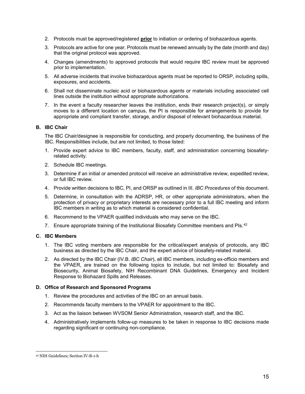- 2. Protocols must be approved/registered **prior** to initiation or ordering of biohazardous agents.
- 3. Protocols are active for one year. Protocols must be renewed annually by the date (month and day) that the original protocol was approved.
- 4. Changes (amendments) to approved protocols that would require IBC review must be approved prior to implementation.
- 5. All adverse incidents that involve biohazardous agents must be reported to ORSP, including spills, exposures, and accidents.
- 6. Shall not disseminate nucleic acid or biohazardous agents or materials including associated cell lines outside the institution without appropriate authorizations.
- 7. In the event a faculty researcher leaves the institution, ends their research project(s), or simply moves to a different location on campus, the PI is responsible for arrangements to provide for appropriate and compliant transfer, storage, and/or disposal of relevant biohazardous material.

# **B. IBC Chair**

The IBC Chair/designee is responsible for conducting, and properly documenting, the business of the IBC. Responsibilities include, but are not limited, to those listed:

- 1. Provide expert advice to IBC members, faculty, staff, and administration concerning biosafetyrelated activity.
- 2. Schedule IBC meetings.
- 3. Determine if an initial or amended protocol will receive an administrative review, expedited review, or full IBC review.
- 4. Provide written decisions to IBC, PI, and ORSP as outlined in III. *IBC Procedures* of this document.
- 5. Determine, in consultation with the ADRSP, HR, or other appropriate administrators, when the protection of privacy or proprietary interests are necessary prior to a full IBC meeting and inform IBC members in writing as to which material is considered confidential.
- 6. Recommend to the VPAER qualified individuals who may serve on the IBC.
- 7. Ensure appropriate training of the Institutional Biosafety Committee members and PIs.<sup>[42](#page-14-0)</sup>

# **C. IBC Members**

- 1. The IBC voting members are responsible for the critical/expert analysis of protocols, any IBC business as directed by the IBC Chair, and the expert advice of biosafety-related material.
- 2. As directed by the IBC Chair (IV.B. *IBC Chair*), all IBC members, including ex-officio members and the VPAER, are trained on the following topics to include, but not limited to: Biosafety and Biosecurity, Animal Biosafety, NIH Recombinant DNA Guidelines, Emergency and Incident Response to Biohazard Spills and Releases.

# **D. Office of Research and Sponsored Programs**

- 1. Review the procedures and activities of the IBC on an annual basis.
- 2. Recommends faculty members to the VPAER for appointment to the IBC.
- 3. Act as the liaison between WVSOM Senior Administration, research staff, and the IBC.
- 4. Administratively implements follow-up measures to be taken in response to IBC decisions made regarding significant or continuing non-compliance.

<span id="page-14-0"></span> $\overline{a}$ <sup>42</sup> NIH Guidelines; Section IV-B-1-h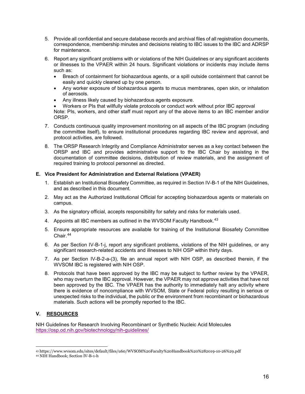- 5. Provide all confidential and secure database records and archival files of all registration documents, correspondence, membership minutes and decisions relating to IBC issues to the IBC and ADRSP for maintenance.
- 6. Report any significant problems with or violations of the NIH Guidelines or any significant accidents or illnesses to the VPAER within 24 hours. Significant violations or incidents may include items such as:
	- Breach of containment for biohazardous agents, or a spill outside containment that cannot be easily and quickly cleaned up by one person.
	- Any worker exposure of biohazardous agents to mucus membranes, open skin, or inhalation of aerosols.
	- Any illness likely caused by biohazardous agents exposure.
	- Workers or PIs that willfully violate protocols or conduct work without prior IBC approval

Note: PIs, workers, and other staff must report any of the above items to an IBC member and/or ORSP.

- 7. Conducts continuous quality improvement monitoring on all aspects of the IBC program (including the committee itself), to ensure institutional procedures regarding IBC review and approval, and protocol activities, are followed.
- 8. The ORSP Research Integrity and Compliance Administrator serves as a key contact between the ORSP and IBC and provides administrative support to the IBC Chair by assisting in the documentation of committee decisions, distribution of review materials, and the assignment of required training to protocol personnel as directed.

# **E. Vice President for Administration and External Relations (VPAER)**

- 1. Establish an Institutional Biosafety Committee, as required in Section IV-B-1 of the NIH Guidelines, and as described in this document.
- 2. May act as the Authorized Institutional Official for accepting biohazardous agents or materials on campus.
- 3. As the signatory official, accepts responsibility for safety and risks for materials used.
- 4. Appoints all IBC members as outlined in the WVSOM Faculty Handbook.<sup>[43](#page-15-0)</sup>
- 5. Ensure appropriate resources are available for training of the Institutional Biosafety Committee Chair. [44](#page-15-1)
- 6. As per Section IV-B-1-j, report any significant problems, violations of the NIH guidelines, or any significant research-related accidents and illnesses to NIH OSP within thirty days.
- 7. As per Section IV-B-2-a-(3), file an annual report with NIH OSP, as described therein, if the WVSOM IBC is registered with NIH OSP.
- 8. Protocols that have been approved by the IBC may be subject to further review by the VPAER, who may overturn the IBC approval. However, the VPAER may not approve activities that have not been approved by the IBC. The VPAER has the authority to immediately halt any activity where there is evidence of noncompliance with WVSOM, State or Federal policy resulting in serious or unexpected risks to the individual, the public or the environment from recombinant or biohazardous materials. Such actions will be promptly reported to the IBC.

# **V. RESOURCES**

NIH Guidelines for Research Involving Recombinant or Synthetic Nucleic Acid Molecules <https://osp.od.nih.gov/biotechnology/nih-guidelines/>

 $\ddot{ }$ <sup>43</sup> https://www.wvsom.edu/sites/default/files/u60/WVSOM%20Faculty%20Handbook%20%282019-10-26%29.pdf

<span id="page-15-1"></span><span id="page-15-0"></span><sup>44</sup> NIH Handbook; Section IV-B-1-h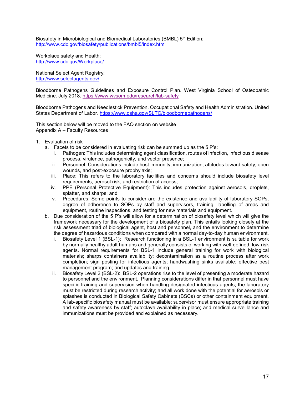Biosafety in Microbiological and Biomedical Laboratories (BMBL) 5<sup>th</sup> Edition: <http://www.cdc.gov/biosafety/publications/bmbl5/index.htm>

Workplace safety and Health: <http://www.cdc.gov/Workplace/>

National Select Agent Registry: <http://www.selectagents.gov/>

Bloodborne Pathogens Guidelines and Exposure Control Plan. West Virginia School of Osteopathic Medicine. July 2018.<https://www.wvsom.edu/research/lab-safety>

Bloodborne Pathogens and Needlestick Prevention. Occupational Safety and Health Administration. United States Department of Labor.<https://www.osha.gov/SLTC/bloodbornepathogens/>

This section below will be moved to the FAQ section on website Appendix A – Faculty Resources

- 1. Evaluation of risk
	- a. Facets to be considered in evaluating risk can be summed up as the 5 P's:
		- i. Pathogen: This includes determining agent classification, routes of infection, infectious disease process, virulence, pathogenicity, and vector presence;
		- ii. Personnel: Considerations include host immunity, immunization, attitudes toward safety, open wounds, and post-exposure prophylaxis;
		- iii. Place: This refers to the laboratory facilities and concerns should include biosafety level requirements, aerosol risk, and restriction of access;
		- iv. PPE (Personal Protective Equipment): This includes protection against aerosols, droplets, splatter, and sharps; and
		- v. Procedures: Some points to consider are the existence and availability of laboratory SOPs, degree of adherence to SOPs by staff and supervisors, training, labelling of areas and equipment, routine inspections, and testing for new materials and equipment.
	- b. Due consideration of the 5 P's will allow for a determination of biosafety level which will give the framework necessary for the development of a biosafety plan. This entails looking closely at the risk assessment triad of biological agent, host and personnel, and the environment to determine the degree of hazardous conditions when compared with a normal day-to-day human environment.
		- i. Biosafety Level 1 (BSL-1): Research functioning in a BSL-1 environment is suitable for work by normally healthy adult humans and generally consists of working with well-defined, low-risk agents. Normal requirements for BSL-1 include general training for work with biological materials; sharps containers availability; decontamination as a routine process after work completion; sign posting for infectious agents; handwashing sinks available; effective pest management program; and updates and training.
		- ii. Biosafety Level 2 (BSL-2): BSL-2 operations rise to the level of presenting a moderate hazard to personnel and the environment. Planning considerations differ in that personnel must have specific training and supervision when handling designated infectious agents; the laboratory must be restricted during research activity; and all work done with the potential for aerosols or splashes is conducted in Biological Safety Cabinets (BSCs) or other containment equipment. A lab-specific biosafety manual must be available; supervisor must ensure appropriate training and safety awareness by staff; autoclave availability in place; and medical surveillance and immunizations must be provided and explained as necessary.